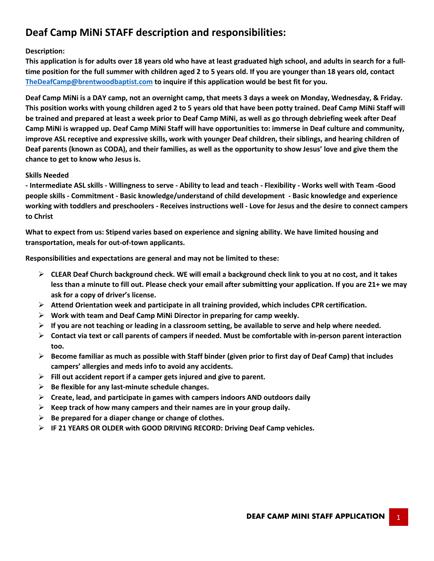# **Deaf Camp MiNi STAFF description and responsibilities:**

#### **Description:**

**This application is for adults over 18 years old who have at least graduated high school, and adults in search for a fulltime position for the full summer with children aged 2 to 5 years old. If you are younger than 18 years old, contact TheDeafCamp@brentwoodbaptist.com to inquire if this application would be best fit for you.**

**Deaf Camp MiNi is a DAY camp, not an overnight camp, that meets 3 days a week on Monday, Wednesday, & Friday. This position works with young children aged 2 to 5 years old that have been potty trained. Deaf Camp MiNi Staff will be trained and prepared at least a week prior to Deaf Camp MiNi, as well as go through debriefing week after Deaf Camp MiNi is wrapped up. Deaf Camp MiNi Staff will have opportunities to: immerse in Deaf culture and community, improve ASL receptive and expressive skills, work with younger Deaf children, their siblings, and hearing children of Deaf parents (known as CODA), and their families, as well as the opportunity to show Jesus' love and give them the chance to get to know who Jesus is.**

#### **Skills Needed**

**- Intermediate ASL skills - Willingness to serve - Ability to lead and teach - Flexibility - Works well with Team -Good people skills - Commitment - Basic knowledge/understand of child development - Basic knowledge and experience working with toddlers and preschoolers - Receives instructions well - Love for Jesus and the desire to connect campers to Christ**

**What to expect from us: Stipend varies based on experience and signing ability. We have limited housing and transportation, meals for out-of-town applicants.**

**Responsibilities and expectations are general and may not be limited to these:**

- Ø **CLEAR Deaf Church background check. WE will email a background check link to you at no cost, and it takes less than a minute to fill out. Please check your email after submitting your application. If you are 21+ we may ask for a copy of driver's license.**
- Ø **Attend Orientation week and participate in all training provided, which includes CPR certification.**
- Ø **Work with team and Deaf Camp MiNi Director in preparing for camp weekly.**
- $\triangleright$  If you are not teaching or leading in a classroom setting, be available to serve and help where needed.
- Ø **Contact via text or call parents of campers if needed. Must be comfortable with in-person parent interaction too.**
- Ø **Become familiar as much as possible with Staff binder (given prior to first day of Deaf Camp) that includes campers' allergies and meds info to avoid any accidents.**
- Ø **Fill out accident report if a camper gets injured and give to parent.**
- Ø **Be flexible for any last-minute schedule changes.**
- Ø **Create, lead, and participate in games with campers indoors AND outdoors daily**
- Ø **Keep track of how many campers and their names are in your group daily.**
- Ø **Be prepared for a diaper change or change of clothes.**
- Ø **IF 21 YEARS OR OLDER with GOOD DRIVING RECORD: Driving Deaf Camp vehicles.**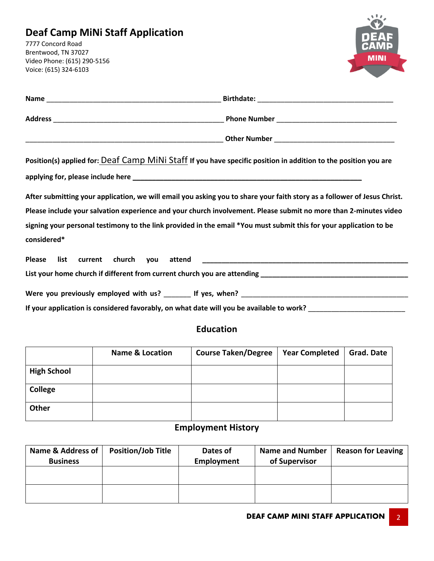# **Deaf Camp MiNi Staff Application**

7777 Concord Road Brentwood, TN 37027 Video Phone: (615) 290-5156 Voice: (615) 324-6103



| Position(s) applied for: Deaf Camp MiNi Staff If you have specific position in addition to the position you are          |  |
|--------------------------------------------------------------------------------------------------------------------------|--|
|                                                                                                                          |  |
| After submitting your application, we will email you asking you to share your faith story as a follower of Jesus Christ. |  |
| Please include your salvation experience and your church involvement. Please submit no more than 2-minutes video         |  |
| signing your personal testimony to the link provided in the email *You must submit this for your application to be       |  |
| considered*                                                                                                              |  |
|                                                                                                                          |  |
|                                                                                                                          |  |
|                                                                                                                          |  |

If your application is considered favorably, on what date will you be available to work? **\_\_\_\_\_\_\_\_\_\_\_\_\_\_** 

## **Education**

|                    | <b>Name &amp; Location</b> | <b>Course Taken/Degree</b> | <b>Year Completed</b> | <b>Grad. Date</b> |
|--------------------|----------------------------|----------------------------|-----------------------|-------------------|
| <b>High School</b> |                            |                            |                       |                   |
| College            |                            |                            |                       |                   |
| Other              |                            |                            |                       |                   |

## **Employment History**

| <b>Name &amp; Address of</b><br><b>Business</b> | <b>Position/Job Title</b> | Dates of<br>Employment | <b>Name and Number</b><br>of Supervisor | <b>Reason for Leaving</b> |
|-------------------------------------------------|---------------------------|------------------------|-----------------------------------------|---------------------------|
|                                                 |                           |                        |                                         |                           |
|                                                 |                           |                        |                                         |                           |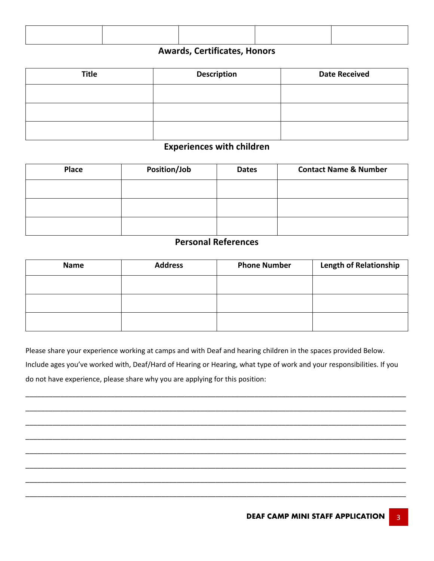## **Awards, Certificates, Honors**

| <b>Title</b> | <b>Description</b> | <b>Date Received</b> |
|--------------|--------------------|----------------------|
|              |                    |                      |
|              |                    |                      |
|              |                    |                      |

## **Experiences with children**

| Place | Position/Job | <b>Dates</b> | <b>Contact Name &amp; Number</b> |
|-------|--------------|--------------|----------------------------------|
|       |              |              |                                  |
|       |              |              |                                  |
|       |              |              |                                  |

### **Personal References**

| <b>Name</b> | <b>Address</b> | <b>Phone Number</b> | <b>Length of Relationship</b> |
|-------------|----------------|---------------------|-------------------------------|
|             |                |                     |                               |
|             |                |                     |                               |
|             |                |                     |                               |

Please share your experience working at camps and with Deaf and hearing children in the spaces provided Below. Include ages you've worked with, Deaf/Hard of Hearing or Hearing, what type of work and your responsibilities. If you do not have experience, please share why you are applying for this position:

\_\_\_\_\_\_\_\_\_\_\_\_\_\_\_\_\_\_\_\_\_\_\_\_\_\_\_\_\_\_\_\_\_\_\_\_\_\_\_\_\_\_\_\_\_\_\_\_\_\_\_\_\_\_\_\_\_\_\_\_\_\_\_\_\_\_\_\_\_\_\_\_\_\_\_\_\_\_\_\_\_\_\_\_\_\_\_\_\_\_\_\_\_\_\_\_\_\_

\_\_\_\_\_\_\_\_\_\_\_\_\_\_\_\_\_\_\_\_\_\_\_\_\_\_\_\_\_\_\_\_\_\_\_\_\_\_\_\_\_\_\_\_\_\_\_\_\_\_\_\_\_\_\_\_\_\_\_\_\_\_\_\_\_\_\_\_\_\_\_\_\_\_\_\_\_\_\_\_\_\_\_\_\_\_\_\_\_\_\_\_\_\_\_\_\_\_

\_\_\_\_\_\_\_\_\_\_\_\_\_\_\_\_\_\_\_\_\_\_\_\_\_\_\_\_\_\_\_\_\_\_\_\_\_\_\_\_\_\_\_\_\_\_\_\_\_\_\_\_\_\_\_\_\_\_\_\_\_\_\_\_\_\_\_\_\_\_\_\_\_\_\_\_\_\_\_\_\_\_\_\_\_\_\_\_\_\_\_\_\_\_\_\_\_\_

\_\_\_\_\_\_\_\_\_\_\_\_\_\_\_\_\_\_\_\_\_\_\_\_\_\_\_\_\_\_\_\_\_\_\_\_\_\_\_\_\_\_\_\_\_\_\_\_\_\_\_\_\_\_\_\_\_\_\_\_\_\_\_\_\_\_\_\_\_\_\_\_\_\_\_\_\_\_\_\_\_\_\_\_\_\_\_\_\_\_\_\_\_\_\_\_\_\_

\_\_\_\_\_\_\_\_\_\_\_\_\_\_\_\_\_\_\_\_\_\_\_\_\_\_\_\_\_\_\_\_\_\_\_\_\_\_\_\_\_\_\_\_\_\_\_\_\_\_\_\_\_\_\_\_\_\_\_\_\_\_\_\_\_\_\_\_\_\_\_\_\_\_\_\_\_\_\_\_\_\_\_\_\_\_\_\_\_\_\_\_\_\_\_\_\_\_

\_\_\_\_\_\_\_\_\_\_\_\_\_\_\_\_\_\_\_\_\_\_\_\_\_\_\_\_\_\_\_\_\_\_\_\_\_\_\_\_\_\_\_\_\_\_\_\_\_\_\_\_\_\_\_\_\_\_\_\_\_\_\_\_\_\_\_\_\_\_\_\_\_\_\_\_\_\_\_\_\_\_\_\_\_\_\_\_\_\_\_\_\_\_\_\_\_\_

\_\_\_\_\_\_\_\_\_\_\_\_\_\_\_\_\_\_\_\_\_\_\_\_\_\_\_\_\_\_\_\_\_\_\_\_\_\_\_\_\_\_\_\_\_\_\_\_\_\_\_\_\_\_\_\_\_\_\_\_\_\_\_\_\_\_\_\_\_\_\_\_\_\_\_\_\_\_\_\_\_\_\_\_\_\_\_\_\_\_\_\_\_\_\_\_\_\_

\_\_\_\_\_\_\_\_\_\_\_\_\_\_\_\_\_\_\_\_\_\_\_\_\_\_\_\_\_\_\_\_\_\_\_\_\_\_\_\_\_\_\_\_\_\_\_\_\_\_\_\_\_\_\_\_\_\_\_\_\_\_\_\_\_\_\_\_\_\_\_\_\_\_\_\_\_\_\_\_\_\_\_\_\_\_\_\_\_\_\_\_\_\_\_\_\_\_